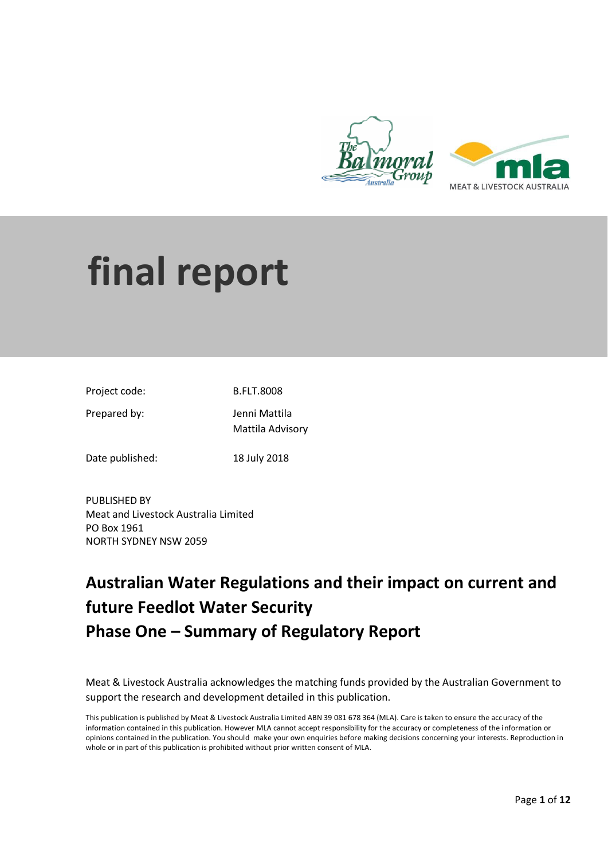

# **final report**

| Project code: | <b>B.FLT.8008</b> |
|---------------|-------------------|
|               |                   |

Prepared by: Jenni Mattila

Mattila Advisory

Date published: 18 July 2018

PUBLISHED BY Meat and Livestock Australia Limited PO Box 1961 NORTH SYDNEY NSW 2059

## **Australian Water Regulations and their impact on current and future Feedlot Water Security Phase One – Summary of Regulatory Report**

Meat & Livestock Australia acknowledges the matching funds provided by the Australian Government to support the research and development detailed in this publication.

This publication is published by Meat & Livestock Australia Limited ABN 39 081 678 364 (MLA). Care is taken to ensure the accuracy of the information contained in this publication. However MLA cannot accept responsibility for the accuracy or completeness of the i nformation or opinions contained in the publication. You should make your own enquiries before making decisions concerning your interests. Reproduction in whole or in part of this publication is prohibited without prior written consent of MLA.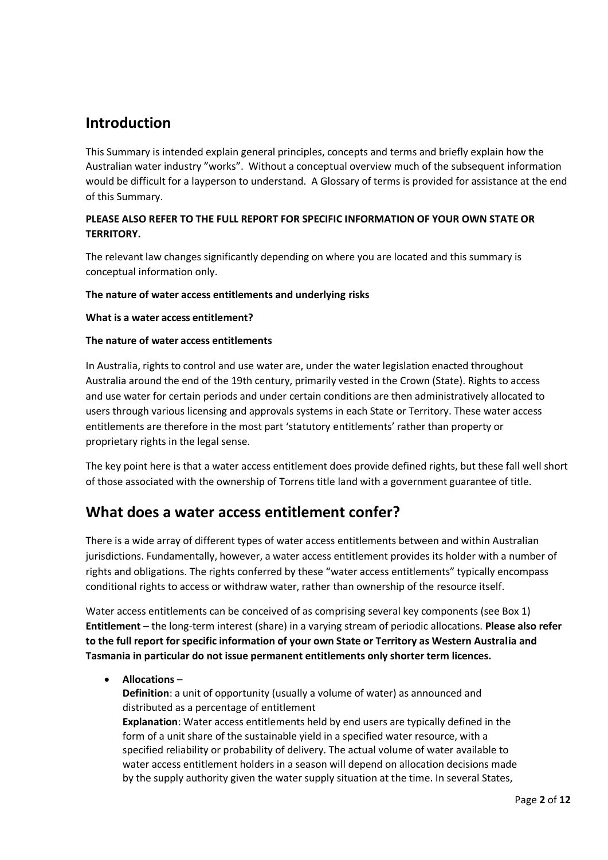## **Introduction**

This Summary is intended explain general principles, concepts and terms and briefly explain how the Australian water industry "works". Without a conceptual overview much of the subsequent information would be difficult for a layperson to understand. A Glossary of terms is provided for assistance at the end of this Summary.

#### **PLEASE ALSO REFER TO THE FULL REPORT FOR SPECIFIC INFORMATION OF YOUR OWN STATE OR TERRITORY.**

The relevant law changes significantly depending on where you are located and this summary is conceptual information only.

#### **The nature of water access entitlements and underlying risks**

#### **What is a water access entitlement?**

#### **The nature of water access entitlements**

In Australia, rights to control and use water are, under the water legislation enacted throughout Australia around the end of the 19th century, primarily vested in the Crown (State). Rights to access and use water for certain periods and under certain conditions are then administratively allocated to users through various licensing and approvals systems in each State or Territory. These water access entitlements are therefore in the most part 'statutory entitlements' rather than property or proprietary rights in the legal sense.

The key point here is that a water access entitlement does provide defined rights, but these fall well short of those associated with the ownership of Torrens title land with a government guarantee of title.

## **What does a water access entitlement confer?**

There is a wide array of different types of water access entitlements between and within Australian jurisdictions. Fundamentally, however, a water access entitlement provides its holder with a number of rights and obligations. The rights conferred by these "water access entitlements" typically encompass conditional rights to access or withdraw water, rather than ownership of the resource itself.

Water access entitlements can be conceived of as comprising several key components (see Box 1) **Entitlement** – the long-term interest (share) in a varying stream of periodic allocations. **Please also refer to the full report for specific information of your own State or Territory as Western Australia and Tasmania in particular do not issue permanent entitlements only shorter term licences.**

**Allocations** –

**Definition**: a unit of opportunity (usually a volume of water) as announced and distributed as a percentage of entitlement

**Explanation**: Water access entitlements held by end users are typically defined in the form of a unit share of the sustainable yield in a specified water resource, with a specified reliability or probability of delivery. The actual volume of water available to water access entitlement holders in a season will depend on allocation decisions made by the supply authority given the water supply situation at the time. In several States,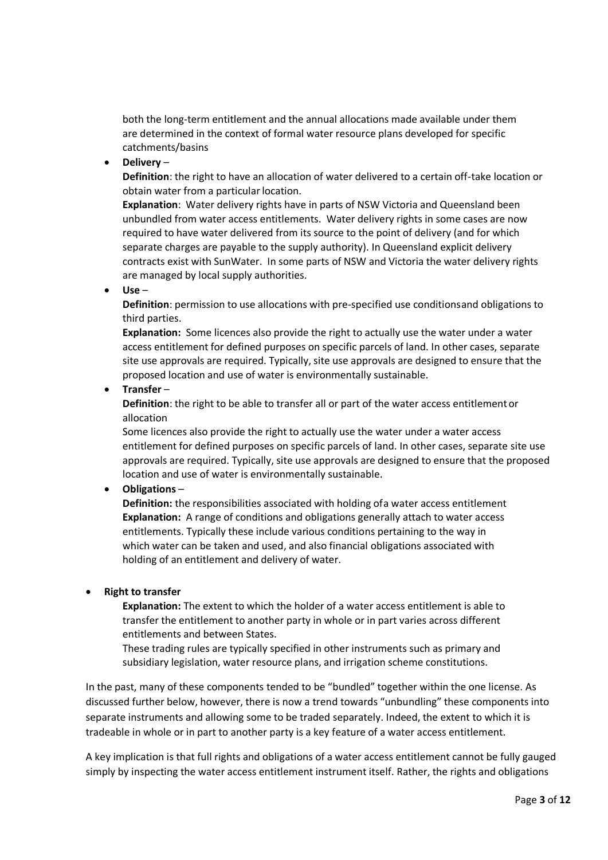both the long-term entitlement and the annual allocations made available under them are determined in the context of formal water resource plans developed for specific catchments/basins

**Delivery** –

**Definition**: the right to have an allocation of water delivered to a certain off-take location or obtain water from a particular location.

**Explanation**: Water delivery rights have in parts of NSW Victoria and Queensland been unbundled from water access entitlements. Water delivery rights in some cases are now required to have water delivered from its source to the point of delivery (and for which separate charges are payable to the supply authority). In Queensland explicit delivery contracts exist with SunWater. In some parts of NSW and Victoria the water delivery rights are managed by local supply authorities.

**Use** –

**Definition**: permission to use allocations with pre-specified use conditionsand obligations to third parties.

**Explanation:** Some licences also provide the right to actually use the water under a water access entitlement for defined purposes on specific parcels of land. In other cases, separate site use approvals are required. Typically, site use approvals are designed to ensure that the proposed location and use of water is environmentally sustainable.

**Transfer** –

**Definition**: the right to be able to transfer all or part of the water access entitlementor allocation

Some licences also provide the right to actually use the water under a water access entitlement for defined purposes on specific parcels of land. In other cases, separate site use approvals are required. Typically, site use approvals are designed to ensure that the proposed location and use of water is environmentally sustainable.

**Obligations** –

**Definition:** the responsibilities associated with holding ofa water access entitlement **Explanation:** A range of conditions and obligations generally attach to water access entitlements. Typically these include various conditions pertaining to the way in which water can be taken and used, and also financial obligations associated with holding of an entitlement and delivery of water.

#### **Right to transfer**

**Explanation:** The extent to which the holder of a water access entitlement is able to transfer the entitlement to another party in whole or in part varies across different entitlements and between States.

These trading rules are typically specified in other instruments such as primary and subsidiary legislation, water resource plans, and irrigation scheme constitutions.

In the past, many of these components tended to be "bundled" together within the one license. As discussed further below, however, there is now a trend towards "unbundling" these components into separate instruments and allowing some to be traded separately. Indeed, the extent to which it is tradeable in whole or in part to another party is a key feature of a water access entitlement.

A key implication is that full rights and obligations of a water access entitlement cannot be fully gauged simply by inspecting the water access entitlement instrument itself. Rather, the rights and obligations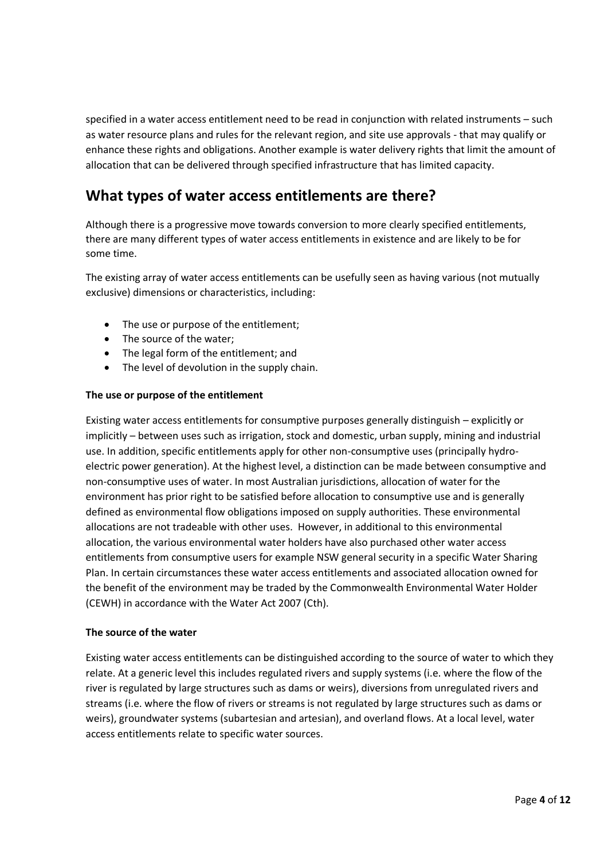specified in a water access entitlement need to be read in conjunction with related instruments – such as water resource plans and rules for the relevant region, and site use approvals - that may qualify or enhance these rights and obligations. Another example is water delivery rights that limit the amount of allocation that can be delivered through specified infrastructure that has limited capacity.

## **What types of water access entitlements are there?**

Although there is a progressive move towards conversion to more clearly specified entitlements, there are many different types of water access entitlements in existence and are likely to be for some time.

The existing array of water access entitlements can be usefully seen as having various (not mutually exclusive) dimensions or characteristics, including:

- The use or purpose of the entitlement;
- The source of the water;
- The legal form of the entitlement; and
- The level of devolution in the supply chain.

#### **The use or purpose of the entitlement**

Existing water access entitlements for consumptive purposes generally distinguish – explicitly or implicitly – between uses such as irrigation, stock and domestic, urban supply, mining and industrial use. In addition, specific entitlements apply for other non-consumptive uses (principally hydroelectric power generation). At the highest level, a distinction can be made between consumptive and non-consumptive uses of water. In most Australian jurisdictions, allocation of water for the environment has prior right to be satisfied before allocation to consumptive use and is generally defined as environmental flow obligations imposed on supply authorities. These environmental allocations are not tradeable with other uses. However, in additional to this environmental allocation, the various environmental water holders have also purchased other water access entitlements from consumptive users for example NSW general security in a specific Water Sharing Plan. In certain circumstances these water access entitlements and associated allocation owned for the benefit of the environment may be traded by the Commonwealth Environmental Water Holder (CEWH) in accordance with the Water Act 2007 (Cth).

#### **The source of the water**

Existing water access entitlements can be distinguished according to the source of water to which they relate. At a generic level this includes regulated rivers and supply systems (i.e. where the flow of the river is regulated by large structures such as dams or weirs), diversions from unregulated rivers and streams (i.e. where the flow of rivers or streams is not regulated by large structures such as dams or weirs), groundwater systems (subartesian and artesian), and overland flows. At a local level, water access entitlements relate to specific water sources.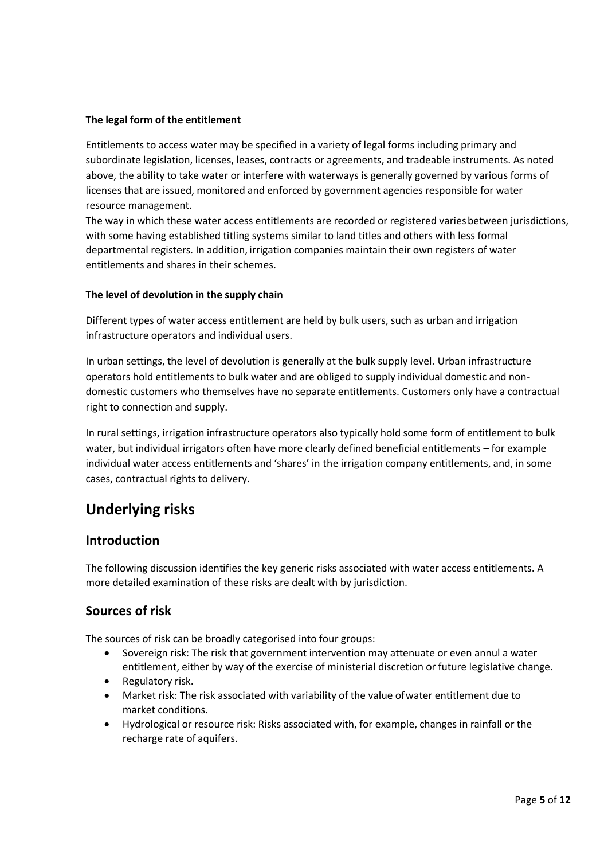#### **The legal form of the entitlement**

Entitlements to access water may be specified in a variety of legal forms including primary and subordinate legislation, licenses, leases, contracts or agreements, and tradeable instruments. As noted above, the ability to take water or interfere with waterways is generally governed by various forms of licenses that are issued, monitored and enforced by government agencies responsible for water resource management.

The way in which these water access entitlements are recorded or registered varies between jurisdictions, with some having established titling systems similar to land titles and others with less formal departmental registers. In addition, irrigation companies maintain their own registers of water entitlements and shares in their schemes.

#### **The level of devolution in the supply chain**

Different types of water access entitlement are held by bulk users, such as urban and irrigation infrastructure operators and individual users.

In urban settings, the level of devolution is generally at the bulk supply level. Urban infrastructure operators hold entitlements to bulk water and are obliged to supply individual domestic and nondomestic customers who themselves have no separate entitlements. Customers only have a contractual right to connection and supply.

In rural settings, irrigation infrastructure operators also typically hold some form of entitlement to bulk water, but individual irrigators often have more clearly defined beneficial entitlements – for example individual water access entitlements and 'shares' in the irrigation company entitlements, and, in some cases, contractual rights to delivery.

## **Underlying risks**

#### **Introduction**

The following discussion identifies the key generic risks associated with water access entitlements. A more detailed examination of these risks are dealt with by jurisdiction.

#### **Sources of risk**

The sources of risk can be broadly categorised into four groups:

- Sovereign risk: The risk that government intervention may attenuate or even annul a water entitlement, either by way of the exercise of ministerial discretion or future legislative change.
- Regulatory risk.
- Market risk: The risk associated with variability of the value ofwater entitlement due to market conditions.
- Hydrological or resource risk: Risks associated with, for example, changes in rainfall or the recharge rate of aquifers.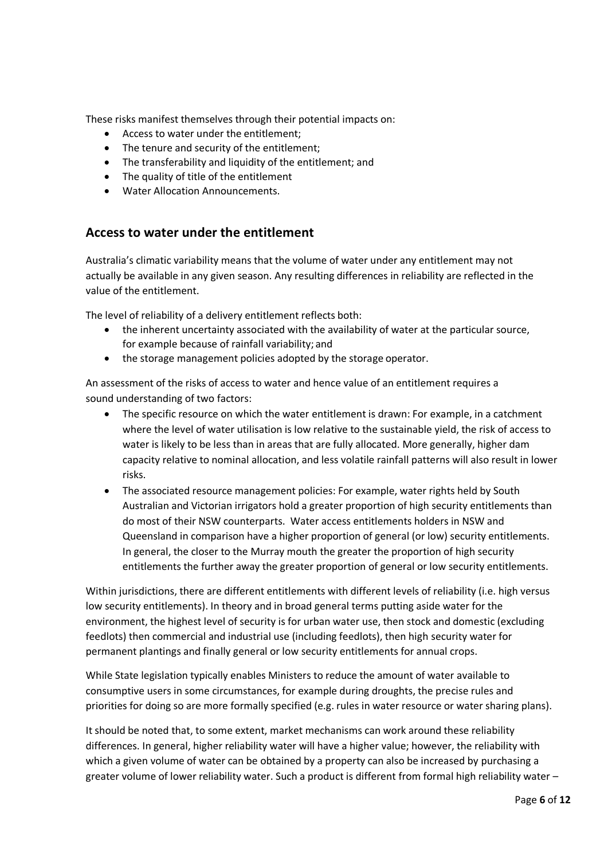These risks manifest themselves through their potential impacts on:

- Access to water under the entitlement;
- The tenure and security of the entitlement;
- The transferability and liquidity of the entitlement; and
- The quality of title of the entitlement
- Water Allocation Announcements.

#### **Access to water under the entitlement**

Australia's climatic variability means that the volume of water under any entitlement may not actually be available in any given season. Any resulting differences in reliability are reflected in the value of the entitlement.

The level of reliability of a delivery entitlement reflects both:

- the inherent uncertainty associated with the availability of water at the particular source, for example because of rainfall variability; and
- the storage management policies adopted by the storage operator.

An assessment of the risks of access to water and hence value of an entitlement requires a sound understanding of two factors:

- The specific resource on which the water entitlement is drawn: For example, in a catchment where the level of water utilisation is low relative to the sustainable yield, the risk of access to water is likely to be less than in areas that are fully allocated. More generally, higher dam capacity relative to nominal allocation, and less volatile rainfall patterns will also result in lower risks.
- The associated resource management policies: For example, water rights held by South Australian and Victorian irrigators hold a greater proportion of high security entitlements than do most of their NSW counterparts. Water access entitlements holders in NSW and Queensland in comparison have a higher proportion of general (or low) security entitlements. In general, the closer to the Murray mouth the greater the proportion of high security entitlements the further away the greater proportion of general or low security entitlements.

Within jurisdictions, there are different entitlements with different levels of reliability (i.e. high versus low security entitlements). In theory and in broad general terms putting aside water for the environment, the highest level of security is for urban water use, then stock and domestic (excluding feedlots) then commercial and industrial use (including feedlots), then high security water for permanent plantings and finally general or low security entitlements for annual crops.

While State legislation typically enables Ministers to reduce the amount of water available to consumptive users in some circumstances, for example during droughts, the precise rules and priorities for doing so are more formally specified (e.g. rules in water resource or water sharing plans).

It should be noted that, to some extent, market mechanisms can work around these reliability differences. In general, higher reliability water will have a higher value; however, the reliability with which a given volume of water can be obtained by a property can also be increased by purchasing a greater volume of lower reliability water. Such a product is different from formal high reliability water –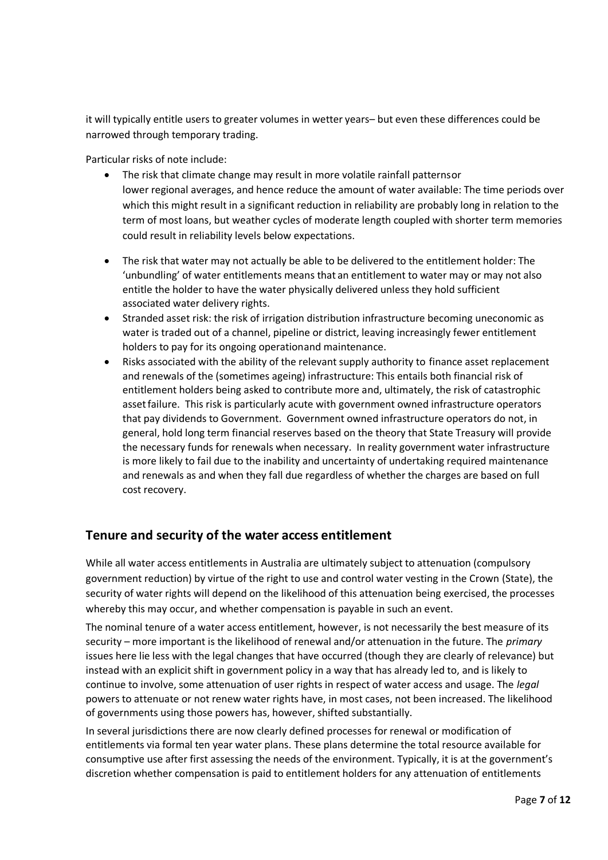it will typically entitle users to greater volumes in wetter years– but even these differences could be narrowed through temporary trading.

Particular risks of note include:

- The risk that climate change may result in more volatile rainfall patternsor lower regional averages, and hence reduce the amount of water available: The time periods over which this might result in a significant reduction in reliability are probably long in relation to the term of most loans, but weather cycles of moderate length coupled with shorter term memories could result in reliability levels below expectations.
- The risk that water may not actually be able to be delivered to the entitlement holder: The 'unbundling' of water entitlements means that an entitlement to water may or may not also entitle the holder to have the water physically delivered unless they hold sufficient associated water delivery rights.
- Stranded asset risk: the risk of irrigation distribution infrastructure becoming uneconomic as water is traded out of a channel, pipeline or district, leaving increasingly fewer entitlement holders to pay for its ongoing operationand maintenance.
- Risks associated with the ability of the relevant supply authority to finance asset replacement and renewals of the (sometimes ageing) infrastructure: This entails both financial risk of entitlement holders being asked to contribute more and, ultimately, the risk of catastrophic assetfailure. This risk is particularly acute with government owned infrastructure operators that pay dividends to Government. Government owned infrastructure operators do not, in general, hold long term financial reserves based on the theory that State Treasury will provide the necessary funds for renewals when necessary. In reality government water infrastructure is more likely to fail due to the inability and uncertainty of undertaking required maintenance and renewals as and when they fall due regardless of whether the charges are based on full cost recovery.

### **Tenure and security of the water access entitlement**

While all water access entitlements in Australia are ultimately subject to attenuation (compulsory government reduction) by virtue of the right to use and control water vesting in the Crown (State), the security of water rights will depend on the likelihood of this attenuation being exercised, the processes whereby this may occur, and whether compensation is payable in such an event.

The nominal tenure of a water access entitlement, however, is not necessarily the best measure of its security – more important is the likelihood of renewal and/or attenuation in the future. The *primary*  issues here lie less with the legal changes that have occurred (though they are clearly of relevance) but instead with an explicit shift in government policy in a way that has already led to, and is likely to continue to involve, some attenuation of user rights in respect of water access and usage. The *legal*  powers to attenuate or not renew water rights have, in most cases, not been increased. The likelihood of governments using those powers has, however, shifted substantially.

In several jurisdictions there are now clearly defined processes for renewal or modification of entitlements via formal ten year water plans. These plans determine the total resource available for consumptive use after first assessing the needs of the environment. Typically, it is at the government's discretion whether compensation is paid to entitlement holders for any attenuation of entitlements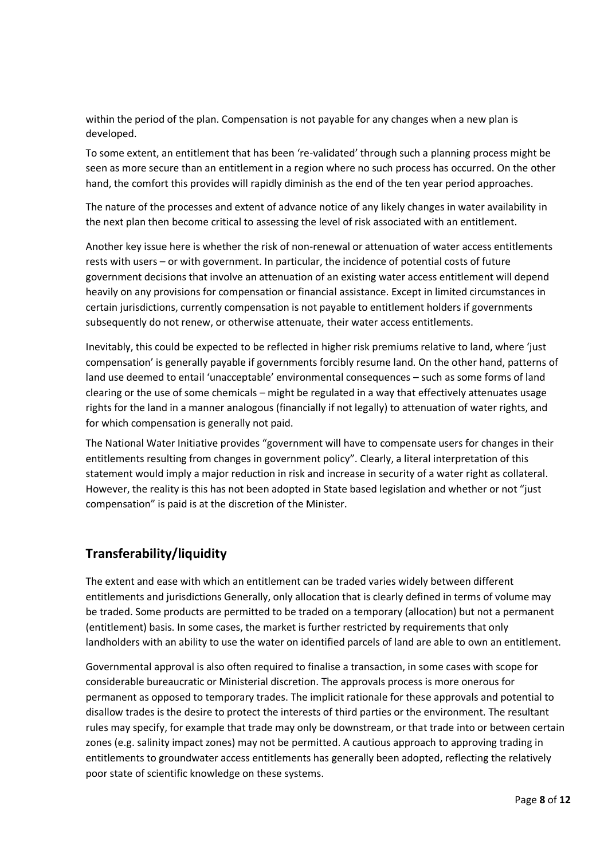within the period of the plan. Compensation is not payable for any changes when a new plan is developed.

To some extent, an entitlement that has been 're-validated' through such a planning process might be seen as more secure than an entitlement in a region where no such process has occurred. On the other hand, the comfort this provides will rapidly diminish as the end of the ten year period approaches.

The nature of the processes and extent of advance notice of any likely changes in water availability in the next plan then become critical to assessing the level of risk associated with an entitlement.

Another key issue here is whether the risk of non-renewal or attenuation of water access entitlements rests with users – or with government. In particular, the incidence of potential costs of future government decisions that involve an attenuation of an existing water access entitlement will depend heavily on any provisions for compensation or financial assistance. Except in limited circumstances in certain jurisdictions, currently compensation is not payable to entitlement holders if governments subsequently do not renew, or otherwise attenuate, their water access entitlements.

Inevitably, this could be expected to be reflected in higher risk premiums relative to land, where 'just compensation' is generally payable if governments forcibly resume land. On the other hand, patterns of land use deemed to entail 'unacceptable' environmental consequences – such as some forms of land clearing or the use of some chemicals – might be regulated in a way that effectively attenuates usage rights for the land in a manner analogous (financially if not legally) to attenuation of water rights, and for which compensation is generally not paid.

The National Water Initiative provides "government will have to compensate users for changes in their entitlements resulting from changes in government policy". Clearly, a literal interpretation of this statement would imply a major reduction in risk and increase in security of a water right as collateral. However, the reality is this has not been adopted in State based legislation and whether or not "just compensation" is paid is at the discretion of the Minister.

## **Transferability/liquidity**

The extent and ease with which an entitlement can be traded varies widely between different entitlements and jurisdictions Generally, only allocation that is clearly defined in terms of volume may be traded. Some products are permitted to be traded on a temporary (allocation) but not a permanent (entitlement) basis. In some cases, the market is further restricted by requirements that only landholders with an ability to use the water on identified parcels of land are able to own an entitlement.

Governmental approval is also often required to finalise a transaction, in some cases with scope for considerable bureaucratic or Ministerial discretion. The approvals process is more onerous for permanent as opposed to temporary trades. The implicit rationale for these approvals and potential to disallow trades is the desire to protect the interests of third parties or the environment. The resultant rules may specify, for example that trade may only be downstream, or that trade into or between certain zones (e.g. salinity impact zones) may not be permitted. A cautious approach to approving trading in entitlements to groundwater access entitlements has generally been adopted, reflecting the relatively poor state of scientific knowledge on these systems.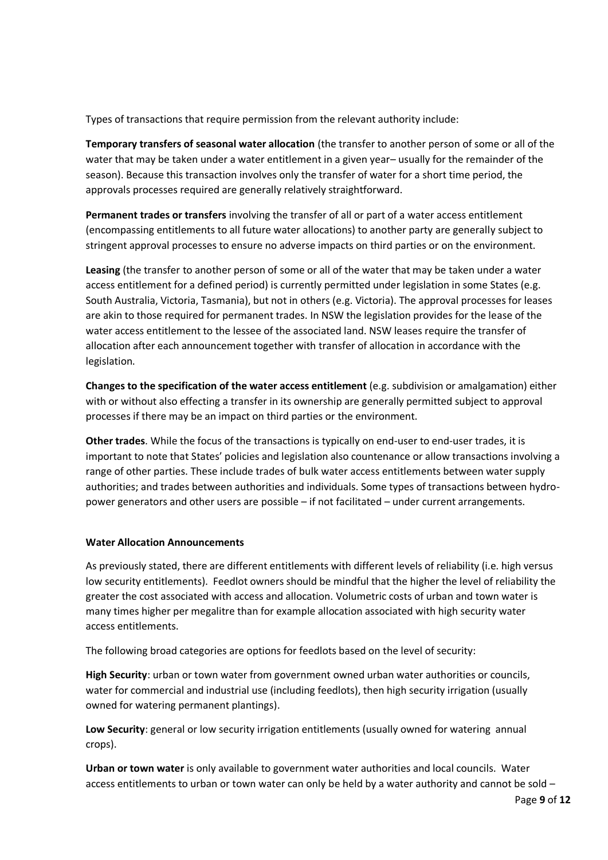Types of transactions that require permission from the relevant authority include:

**Temporary transfers of seasonal water allocation** (the transfer to another person of some or all of the water that may be taken under a water entitlement in a given year– usually for the remainder of the season). Because this transaction involves only the transfer of water for a short time period, the approvals processes required are generally relatively straightforward.

**Permanent trades or transfers** involving the transfer of all or part of a water access entitlement (encompassing entitlements to all future water allocations) to another party are generally subject to stringent approval processes to ensure no adverse impacts on third parties or on the environment.

**Leasing** (the transfer to another person of some or all of the water that may be taken under a water access entitlement for a defined period) is currently permitted under legislation in some States (e.g. South Australia, Victoria, Tasmania), but not in others (e.g. Victoria). The approval processes for leases are akin to those required for permanent trades. In NSW the legislation provides for the lease of the water access entitlement to the lessee of the associated land. NSW leases require the transfer of allocation after each announcement together with transfer of allocation in accordance with the legislation.

**Changes to the specification of the water access entitlement** (e.g. subdivision or amalgamation) either with or without also effecting a transfer in its ownership are generally permitted subject to approval processes if there may be an impact on third parties or the environment.

**Other trades**. While the focus of the transactions is typically on end-user to end-user trades, it is important to note that States' policies and legislation also countenance or allow transactions involving a range of other parties. These include trades of bulk water access entitlements between water supply authorities; and trades between authorities and individuals. Some types of transactions between hydropower generators and other users are possible – if not facilitated – under current arrangements.

#### **Water Allocation Announcements**

As previously stated, there are different entitlements with different levels of reliability (i.e. high versus low security entitlements). Feedlot owners should be mindful that the higher the level of reliability the greater the cost associated with access and allocation. Volumetric costs of urban and town water is many times higher per megalitre than for example allocation associated with high security water access entitlements.

The following broad categories are options for feedlots based on the level of security:

**High Security**: urban or town water from government owned urban water authorities or councils, water for commercial and industrial use (including feedlots), then high security irrigation (usually owned for watering permanent plantings).

**Low Security**: general or low security irrigation entitlements (usually owned for watering annual crops).

**Urban or town water** is only available to government water authorities and local councils. Water access entitlements to urban or town water can only be held by a water authority and cannot be sold –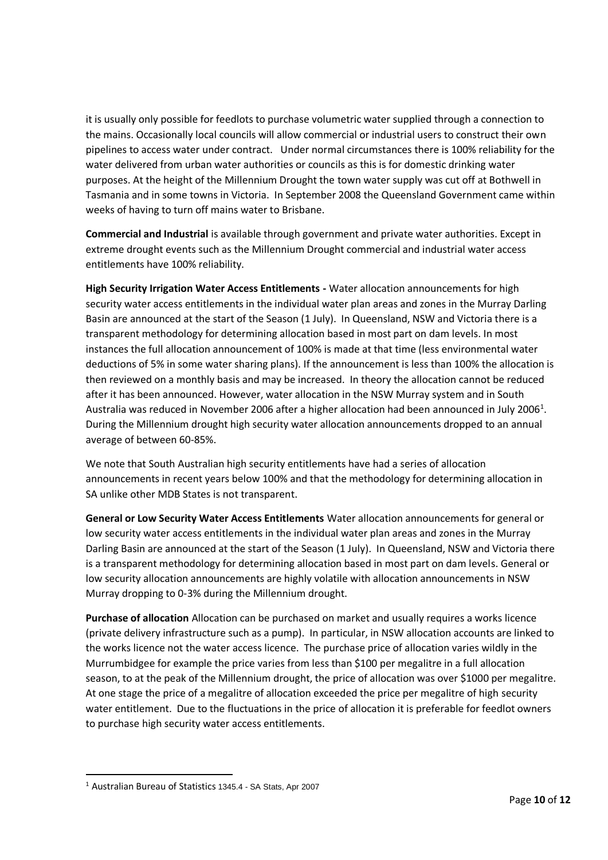it is usually only possible for feedlots to purchase volumetric water supplied through a connection to the mains. Occasionally local councils will allow commercial or industrial users to construct their own pipelines to access water under contract. Under normal circumstances there is 100% reliability for the water delivered from urban water authorities or councils as this is for domestic drinking water purposes. At the height of the Millennium Drought the town water supply was cut off at Bothwell in Tasmania and in some towns in Victoria. In September 2008 the Queensland Government came within weeks of having to turn off mains water to Brisbane.

**Commercial and Industrial** is available through government and private water authorities. Except in extreme drought events such as the Millennium Drought commercial and industrial water access entitlements have 100% reliability.

**High Security Irrigation Water Access Entitlements -** Water allocation announcements for high security water access entitlements in the individual water plan areas and zones in the Murray Darling Basin are announced at the start of the Season (1 July). In Queensland, NSW and Victoria there is a transparent methodology for determining allocation based in most part on dam levels. In most instances the full allocation announcement of 100% is made at that time (less environmental water deductions of 5% in some water sharing plans). If the announcement is less than 100% the allocation is then reviewed on a monthly basis and may be increased. In theory the allocation cannot be reduced after it has been announced. However, water allocation in the NSW Murray system and in South Australia was reduced in November 2006 after a higher allocation had been announced in July 2006<sup>1</sup>. During the Millennium drought high security water allocation announcements dropped to an annual average of between 60-85%.

We note that South Australian high security entitlements have had a series of allocation announcements in recent years below 100% and that the methodology for determining allocation in SA unlike other MDB States is not transparent.

**General or Low Security Water Access Entitlements** Water allocation announcements for general or low security water access entitlements in the individual water plan areas and zones in the Murray Darling Basin are announced at the start of the Season (1 July). In Queensland, NSW and Victoria there is a transparent methodology for determining allocation based in most part on dam levels. General or low security allocation announcements are highly volatile with allocation announcements in NSW Murray dropping to 0-3% during the Millennium drought.

**Purchase of allocation** Allocation can be purchased on market and usually requires a works licence (private delivery infrastructure such as a pump). In particular, in NSW allocation accounts are linked to the works licence not the water access licence. The purchase price of allocation varies wildly in the Murrumbidgee for example the price varies from less than \$100 per megalitre in a full allocation season, to at the peak of the Millennium drought, the price of allocation was over \$1000 per megalitre. At one stage the price of a megalitre of allocation exceeded the price per megalitre of high security water entitlement. Due to the fluctuations in the price of allocation it is preferable for feedlot owners to purchase high security water access entitlements.

 $\overline{\phantom{a}}$ 

<sup>1</sup> Australian Bureau of Statistics 1345.4 - SA Stats, Apr 2007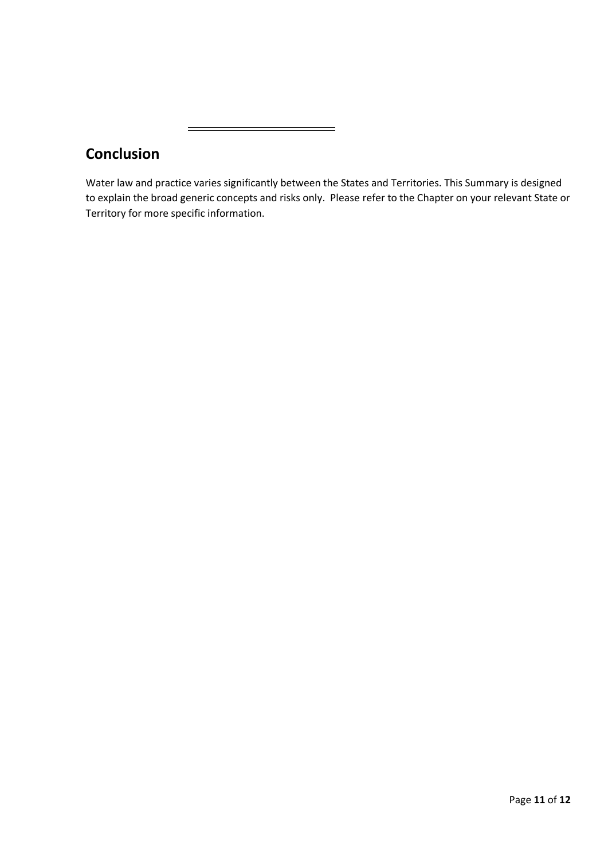| <b>Conclusion</b> |
|-------------------|
|                   |

 $\equiv$ 

Water law and practice varies significantly between the States and Territories. This Summary is designed to explain the broad generic concepts and risks only. Please refer to the Chapter on your relevant State or Territory for more specific information.

 $=$